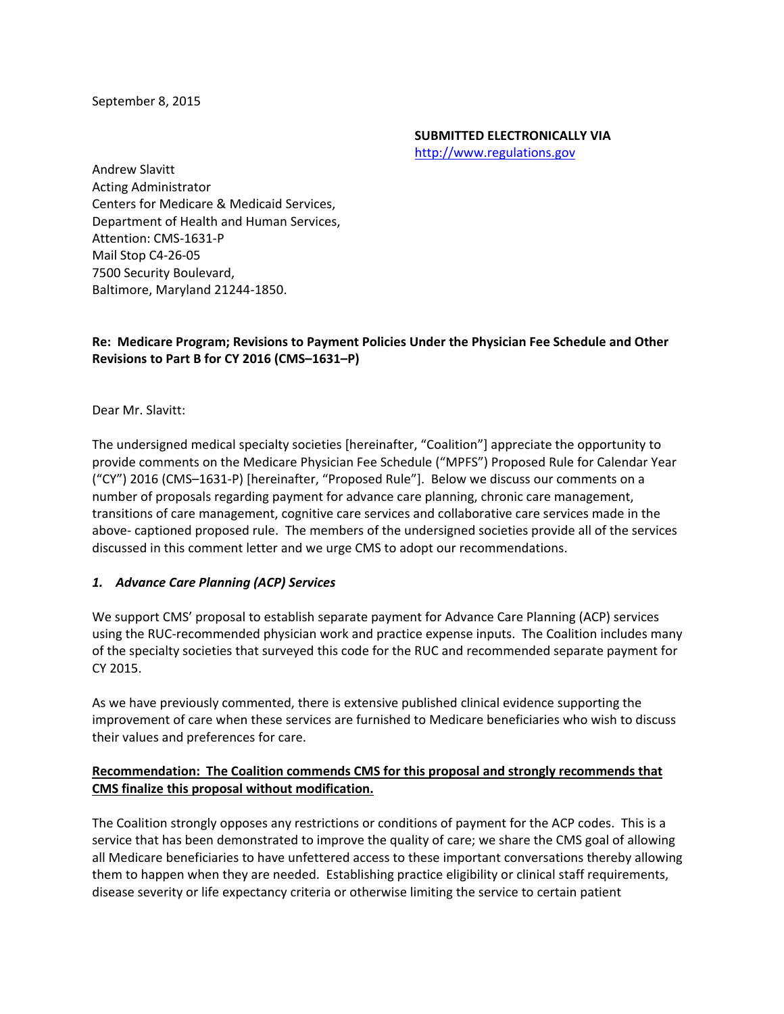September 8, 2015

#### **SUBMITTED ELECTRONICALLY VIA** http://www.regulations.gov

Andrew Slavitt Acting Administrator Centers for Medicare & Medicaid Services, Department of Health and Human Services, Attention: CMS‐1631‐P Mail Stop C4‐26‐05 7500 Security Boulevard, Baltimore, Maryland 21244‐1850.

# **Re: Medicare Program; Revisions to Payment Policies Under the Physician Fee Schedule and Other Revisions to Part B for CY 2016 (CMS–1631–P)**

Dear Mr. Slavitt:

The undersigned medical specialty societies [hereinafter, "Coalition"] appreciate the opportunity to provide comments on the Medicare Physician Fee Schedule ("MPFS") Proposed Rule for Calendar Year ("CY") 2016 (CMS–1631‐P) [hereinafter, "Proposed Rule"]. Below we discuss our comments on a number of proposals regarding payment for advance care planning, chronic care management, transitions of care management, cognitive care services and collaborative care services made in the above‐ captioned proposed rule. The members of the undersigned societies provide all of the services discussed in this comment letter and we urge CMS to adopt our recommendations.

#### *1. Advance Care Planning (ACP) Services*

We support CMS' proposal to establish separate payment for Advance Care Planning (ACP) services using the RUC‐recommended physician work and practice expense inputs. The Coalition includes many of the specialty societies that surveyed this code for the RUC and recommended separate payment for CY 2015.

As we have previously commented, there is extensive published clinical evidence supporting the improvement of care when these services are furnished to Medicare beneficiaries who wish to discuss their values and preferences for care.

#### **Recommendation: The Coalition commends CMS for this proposal and strongly recommends that CMS finalize this proposal without modification.**

The Coalition strongly opposes any restrictions or conditions of payment for the ACP codes. This is a service that has been demonstrated to improve the quality of care; we share the CMS goal of allowing all Medicare beneficiaries to have unfettered access to these important conversations thereby allowing them to happen when they are needed. Establishing practice eligibility or clinical staff requirements, disease severity or life expectancy criteria or otherwise limiting the service to certain patient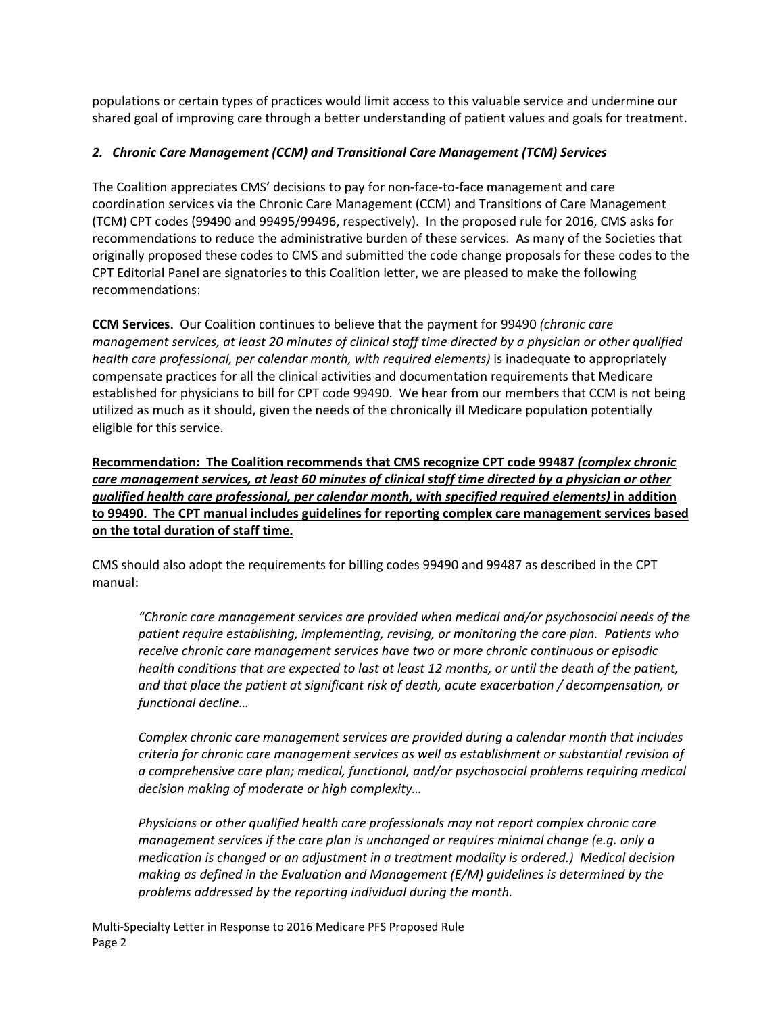populations or certain types of practices would limit access to this valuable service and undermine our shared goal of improving care through a better understanding of patient values and goals for treatment.

# *2. Chronic Care Management (CCM) and Transitional Care Management (TCM) Services*

The Coalition appreciates CMS' decisions to pay for non-face-to-face management and care coordination services via the Chronic Care Management (CCM) and Transitions of Care Management (TCM) CPT codes (99490 and 99495/99496, respectively). In the proposed rule for 2016, CMS asks for recommendations to reduce the administrative burden of these services. As many of the Societies that originally proposed these codes to CMS and submitted the code change proposals for these codes to the CPT Editorial Panel are signatories to this Coalition letter, we are pleased to make the following recommendations:

**CCM Services.** Our Coalition continues to believe that the payment for 99490 *(chronic care* management services, at least 20 minutes of clinical staff time directed by a physician or other qualified *health care professional, per calendar month, with required elements)* is inadequate to appropriately compensate practices for all the clinical activities and documentation requirements that Medicare established for physicians to bill for CPT code 99490. We hear from our members that CCM is not being utilized as much as it should, given the needs of the chronically ill Medicare population potentially eligible for this service.

**Recommendation: The Coalition recommends that CMS recognize CPT code 99487** *(complex chronic care management services, at least 60 minutes of clinical staff time directed by a physician or other qualified health care professional, per calendar month, with specified required elements)* **in addition to 99490. The CPT manual includes guidelines for reporting complex care management services based on the total duration of staff time.** 

CMS should also adopt the requirements for billing codes 99490 and 99487 as described in the CPT manual:

*"Chronic care management services are provided when medical and/or psychosocial needs of the patient require establishing, implementing, revising, or monitoring the care plan. Patients who receive chronic care management services have two or more chronic continuous or episodic health conditions that are expected to last at least 12 months, or until the death of the patient, and that place the patient at significant risk of death, acute exacerbation / decompensation, or functional decline…*

*Complex chronic care management services are provided during a calendar month that includes criteria for chronic care management services as well as establishment or substantial revision of a comprehensive care plan; medical, functional, and/or psychosocial problems requiring medical decision making of moderate or high complexity…* 

*Physicians or other qualified health care professionals may not report complex chronic care management services if the care plan is unchanged or requires minimal change (e.g. only a medication is changed or an adjustment in a treatment modality is ordered.) Medical decision making as defined in the Evaluation and Management (E/M) guidelines is determined by the problems addressed by the reporting individual during the month.*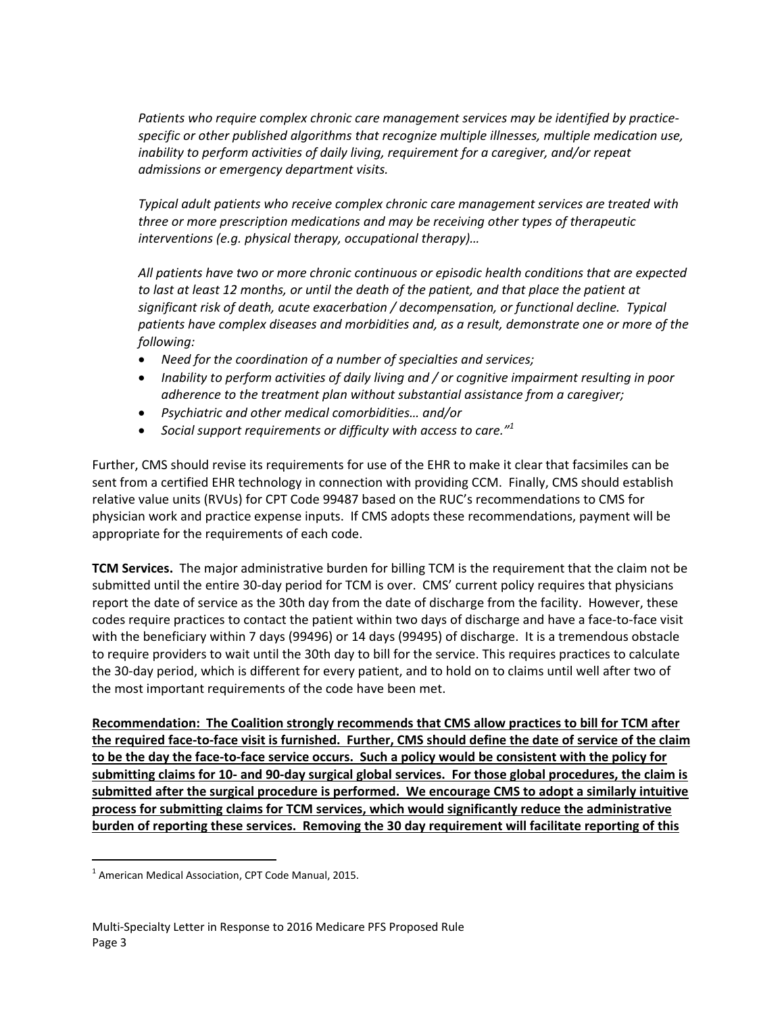*Patients who require complex chronic care management services may be identified by practice‐ specific or other published algorithms that recognize multiple illnesses, multiple medication use, inability to perform activities of daily living, requirement for a caregiver, and/or repeat admissions or emergency department visits.*

*Typical adult patients who receive complex chronic care management services are treated with three or more prescription medications and may be receiving other types of therapeutic interventions (e.g. physical therapy, occupational therapy)…* 

*All patients have two or more chronic continuous or episodic health conditions that are expected* to last at least 12 months, or until the death of the patient, and that place the patient at *significant risk of death, acute exacerbation / decompensation, or functional decline. Typical patients have complex diseases and morbidities and, as a result, demonstrate one or more of the following:*

- *Need for the coordination of a number of specialties and services;*
- *Inability to perform activities of daily living and / or cognitive impairment resulting in poor adherence to the treatment plan without substantial assistance from a caregiver;*
- *Psychiatric and other medical comorbidities… and/or*
- *Social support requirements or difficulty with access to care."<sup>1</sup>*

Further, CMS should revise its requirements for use of the EHR to make it clear that facsimiles can be sent from a certified EHR technology in connection with providing CCM. Finally, CMS should establish relative value units (RVUs) for CPT Code 99487 based on the RUC's recommendations to CMS for physician work and practice expense inputs. If CMS adopts these recommendations, payment will be appropriate for the requirements of each code.

**TCM Services.** The major administrative burden for billing TCM is the requirement that the claim not be submitted until the entire 30-day period for TCM is over. CMS' current policy requires that physicians report the date of service as the 30th day from the date of discharge from the facility. However, these codes require practices to contact the patient within two days of discharge and have a face‐to‐face visit with the beneficiary within 7 days (99496) or 14 days (99495) of discharge. It is a tremendous obstacle to require providers to wait until the 30th day to bill for the service. This requires practices to calculate the 30‐day period, which is different for every patient, and to hold on to claims until well after two of the most important requirements of the code have been met.

**Recommendation: The Coalition strongly recommends that CMS allow practices to bill for TCM after** the required face-to-face visit is furnished. Further, CMS should define the date of service of the claim to be the day the face-to-face service occurs. Such a policy would be consistent with the policy for submitting claims for 10- and 90-day surgical global services. For those global procedures, the claim is **submitted after the surgical procedure is performed. We encourage CMS to adopt a similarly intuitive process for submitting claims for TCM services, which would significantly reduce the administrative burden of reporting these services. Removing the 30 day requirement will facilitate reporting of this**

 $\overline{a}$ 

 $1$  American Medical Association, CPT Code Manual, 2015.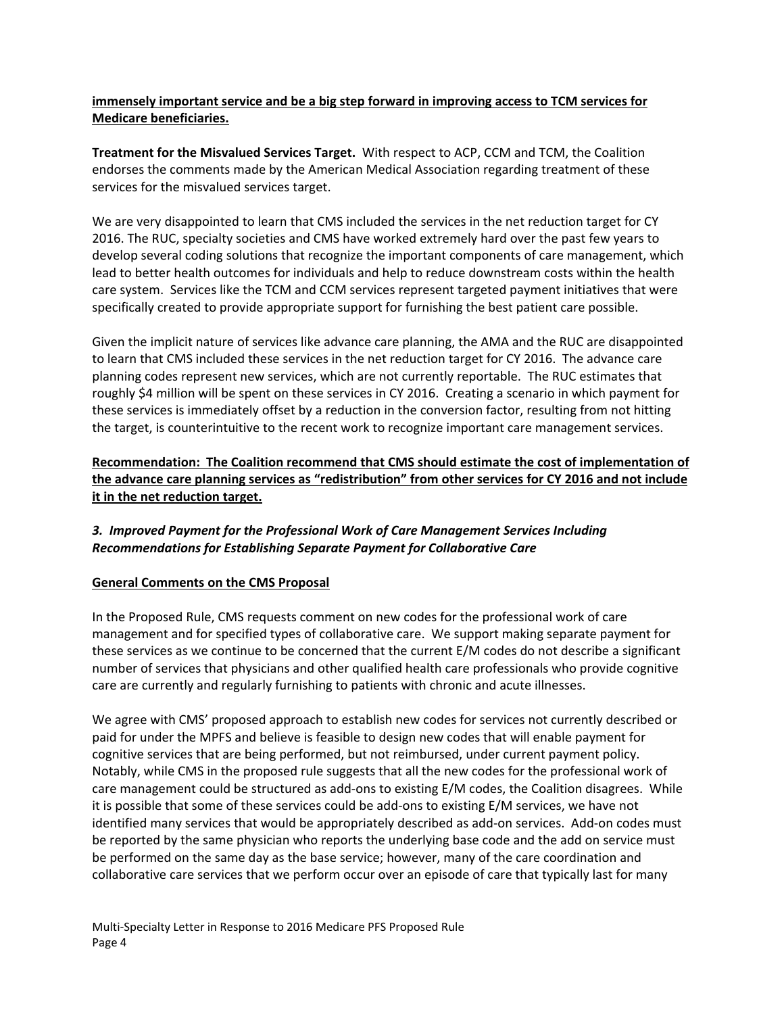### **immensely important service and be a big step forward in improving access to TCM services for Medicare beneficiaries.**

**Treatment for the Misvalued Services Target.** With respect to ACP, CCM and TCM, the Coalition endorses the comments made by the American Medical Association regarding treatment of these services for the misvalued services target.

We are very disappointed to learn that CMS included the services in the net reduction target for CY 2016. The RUC, specialty societies and CMS have worked extremely hard over the past few years to develop several coding solutions that recognize the important components of care management, which lead to better health outcomes for individuals and help to reduce downstream costs within the health care system. Services like the TCM and CCM services represent targeted payment initiatives that were specifically created to provide appropriate support for furnishing the best patient care possible.

Given the implicit nature of services like advance care planning, the AMA and the RUC are disappointed to learn that CMS included these services in the net reduction target for CY 2016. The advance care planning codes represent new services, which are not currently reportable. The RUC estimates that roughly \$4 million will be spent on these services in CY 2016. Creating a scenario in which payment for these services is immediately offset by a reduction in the conversion factor, resulting from not hitting the target, is counterintuitive to the recent work to recognize important care management services.

# **Recommendation: The Coalition recommend that CMS should estimate the cost of implementation of the advance care planning services as "redistribution" from other services for CY 2016 and not include it in the net reduction target.**

# *3. Improved Payment for the Professional Work of Care Management Services Including Recommendations for Establishing Separate Payment for Collaborative Care*

# **General Comments on the CMS Proposal**

In the Proposed Rule, CMS requests comment on new codes for the professional work of care management and for specified types of collaborative care. We support making separate payment for these services as we continue to be concerned that the current E/M codes do not describe a significant number of services that physicians and other qualified health care professionals who provide cognitive care are currently and regularly furnishing to patients with chronic and acute illnesses.

We agree with CMS' proposed approach to establish new codes for services not currently described or paid for under the MPFS and believe is feasible to design new codes that will enable payment for cognitive services that are being performed, but not reimbursed, under current payment policy. Notably, while CMS in the proposed rule suggests that all the new codes for the professional work of care management could be structured as add-ons to existing E/M codes, the Coalition disagrees. While it is possible that some of these services could be add-ons to existing E/M services, we have not identified many services that would be appropriately described as add‐on services. Add‐on codes must be reported by the same physician who reports the underlying base code and the add on service must be performed on the same day as the base service; however, many of the care coordination and collaborative care services that we perform occur over an episode of care that typically last for many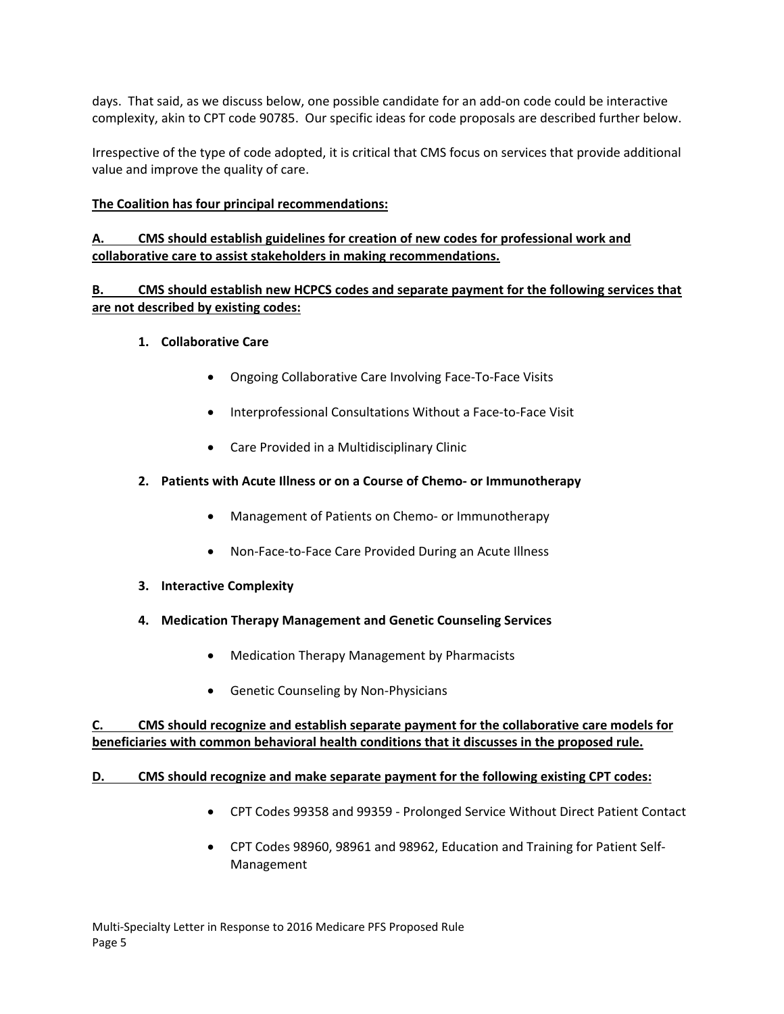days. That said, as we discuss below, one possible candidate for an add‐on code could be interactive complexity, akin to CPT code 90785. Our specific ideas for code proposals are described further below.

Irrespective of the type of code adopted, it is critical that CMS focus on services that provide additional value and improve the quality of care.

### **The Coalition has four principal recommendations:**

# **A. CMS should establish guidelines for creation of new codes for professional work and collaborative care to assist stakeholders in making recommendations.**

### **B. CMS should establish new HCPCS codes and separate payment for the following services that are not described by existing codes:**

#### **1. Collaborative Care**

- Ongoing Collaborative Care Involving Face-To-Face Visits
- Interprofessional Consultations Without a Face-to-Face Visit
- Care Provided in a Multidisciplinary Clinic
- **2. Patients with Acute Illness or on a Course of Chemo‐ or Immunotherapy**
	- Management of Patients on Chemo- or Immunotherapy
	- Non-Face-to-Face Care Provided During an Acute Illness
- **3. Interactive Complexity**
- **4. Medication Therapy Management and Genetic Counseling Services**
	- Medication Therapy Management by Pharmacists
	- Genetic Counseling by Non-Physicians

**C. CMS should recognize and establish separate payment for the collaborative care models for beneficiaries with common behavioral health conditions that it discusses in the proposed rule.**

#### **D. CMS should recognize and make separate payment for the following existing CPT codes:**

- CPT Codes 99358 and 99359 ‐ Prolonged Service Without Direct Patient Contact
- CPT Codes 98960, 98961 and 98962, Education and Training for Patient Self‐ Management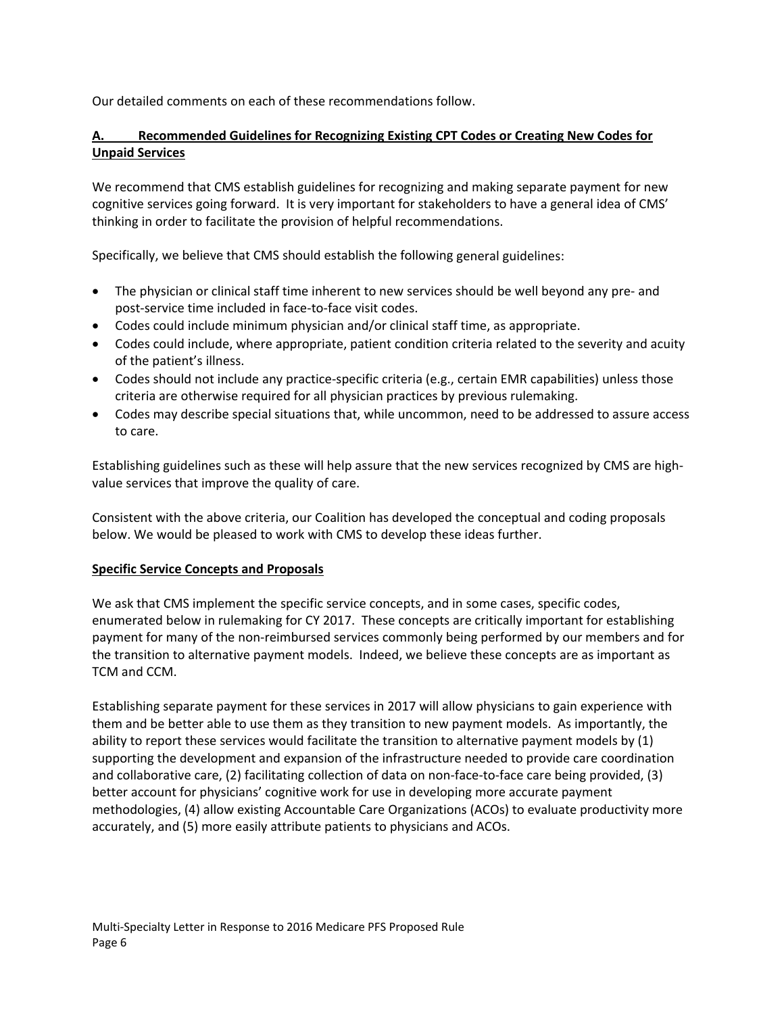Our detailed comments on each of these recommendations follow.

# **A. Recommended Guidelines for Recognizing Existing CPT Codes or Creating New Codes for Unpaid Services**

We recommend that CMS establish guidelines for recognizing and making separate payment for new cognitive services going forward. It is very important for stakeholders to have a general idea of CMS' thinking in order to facilitate the provision of helpful recommendations.

Specifically, we believe that CMS should establish the following general guidelines:

- The physician or clinical staff time inherent to new services should be well beyond any pre- and post‐service time included in face‐to‐face visit codes.
- Codes could include minimum physician and/or clinical staff time, as appropriate.
- Codes could include, where appropriate, patient condition criteria related to the severity and acuity of the patient's illness.
- Codes should not include any practice-specific criteria (e.g., certain EMR capabilities) unless those criteria are otherwise required for all physician practices by previous rulemaking.
- Codes may describe special situations that, while uncommon, need to be addressed to assure access to care.

Establishing guidelines such as these will help assure that the new services recognized by CMS are high‐ value services that improve the quality of care.

Consistent with the above criteria, our Coalition has developed the conceptual and coding proposals below. We would be pleased to work with CMS to develop these ideas further.

#### **Specific Service Concepts and Proposals**

We ask that CMS implement the specific service concepts, and in some cases, specific codes, enumerated below in rulemaking for CY 2017. These concepts are critically important for establishing payment for many of the non‐reimbursed services commonly being performed by our members and for the transition to alternative payment models. Indeed, we believe these concepts are as important as TCM and CCM.

Establishing separate payment for these services in 2017 will allow physicians to gain experience with them and be better able to use them as they transition to new payment models. As importantly, the ability to report these services would facilitate the transition to alternative payment models by (1) supporting the development and expansion of the infrastructure needed to provide care coordination and collaborative care, (2) facilitating collection of data on non-face-to-face care being provided, (3) better account for physicians' cognitive work for use in developing more accurate payment methodologies, (4) allow existing Accountable Care Organizations (ACOs) to evaluate productivity more accurately, and (5) more easily attribute patients to physicians and ACOs.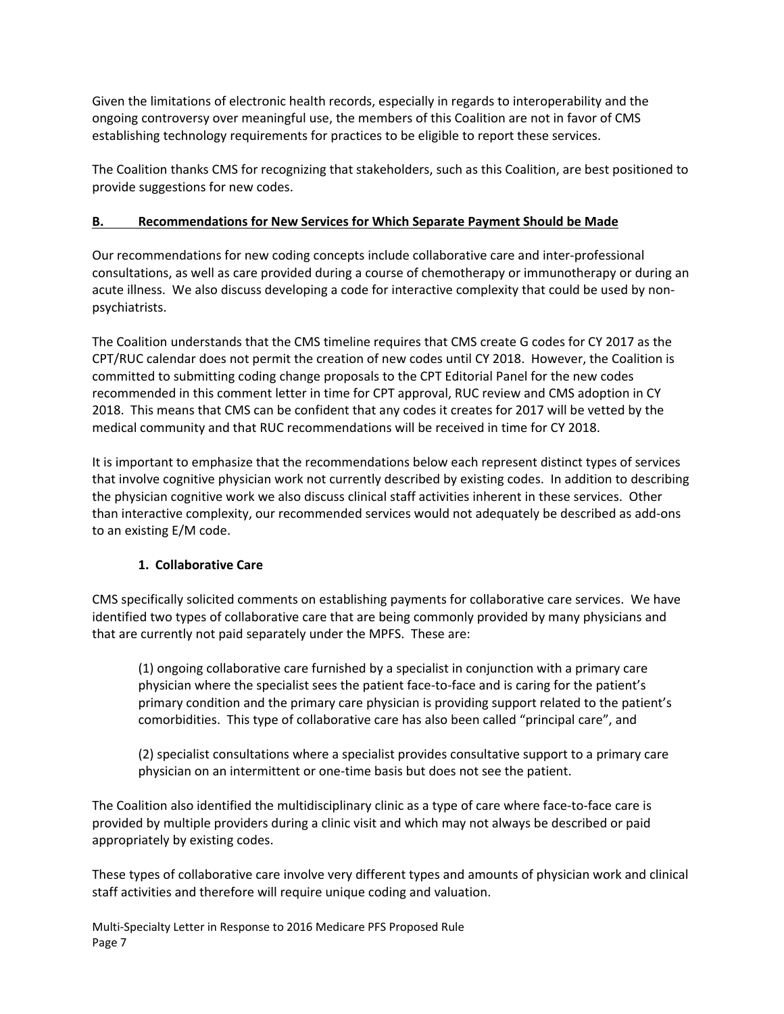Given the limitations of electronic health records, especially in regards to interoperability and the ongoing controversy over meaningful use, the members of this Coalition are not in favor of CMS establishing technology requirements for practices to be eligible to report these services.

The Coalition thanks CMS for recognizing that stakeholders, such as this Coalition, are best positioned to provide suggestions for new codes.

# **B. Recommendations for New Services for Which Separate Payment Should be Made**

Our recommendations for new coding concepts include collaborative care and inter‐professional consultations, as well as care provided during a course of chemotherapy or immunotherapy or during an acute illness. We also discuss developing a code for interactive complexity that could be used by nonpsychiatrists.

The Coalition understands that the CMS timeline requires that CMS create G codes for CY 2017 as the CPT/RUC calendar does not permit the creation of new codes until CY 2018. However, the Coalition is committed to submitting coding change proposals to the CPT Editorial Panel for the new codes recommended in this comment letter in time for CPT approval, RUC review and CMS adoption in CY 2018. This means that CMS can be confident that any codes it creates for 2017 will be vetted by the medical community and that RUC recommendations will be received in time for CY 2018.

It is important to emphasize that the recommendations below each represent distinct types of services that involve cognitive physician work not currently described by existing codes. In addition to describing the physician cognitive work we also discuss clinical staff activities inherent in these services. Other than interactive complexity, our recommended services would not adequately be described as add‐ons to an existing E/M code.

# **1. Collaborative Care**

CMS specifically solicited comments on establishing payments for collaborative care services. We have identified two types of collaborative care that are being commonly provided by many physicians and that are currently not paid separately under the MPFS. These are:

(1) ongoing collaborative care furnished by a specialist in conjunction with a primary care physician where the specialist sees the patient face‐to‐face and is caring for the patient's primary condition and the primary care physician is providing support related to the patient's comorbidities. This type of collaborative care has also been called "principal care", and

(2) specialist consultations where a specialist provides consultative support to a primary care physician on an intermittent or one‐time basis but does not see the patient.

The Coalition also identified the multidisciplinary clinic as a type of care where face‐to‐face care is provided by multiple providers during a clinic visit and which may not always be described or paid appropriately by existing codes.

These types of collaborative care involve very different types and amounts of physician work and clinical staff activities and therefore will require unique coding and valuation.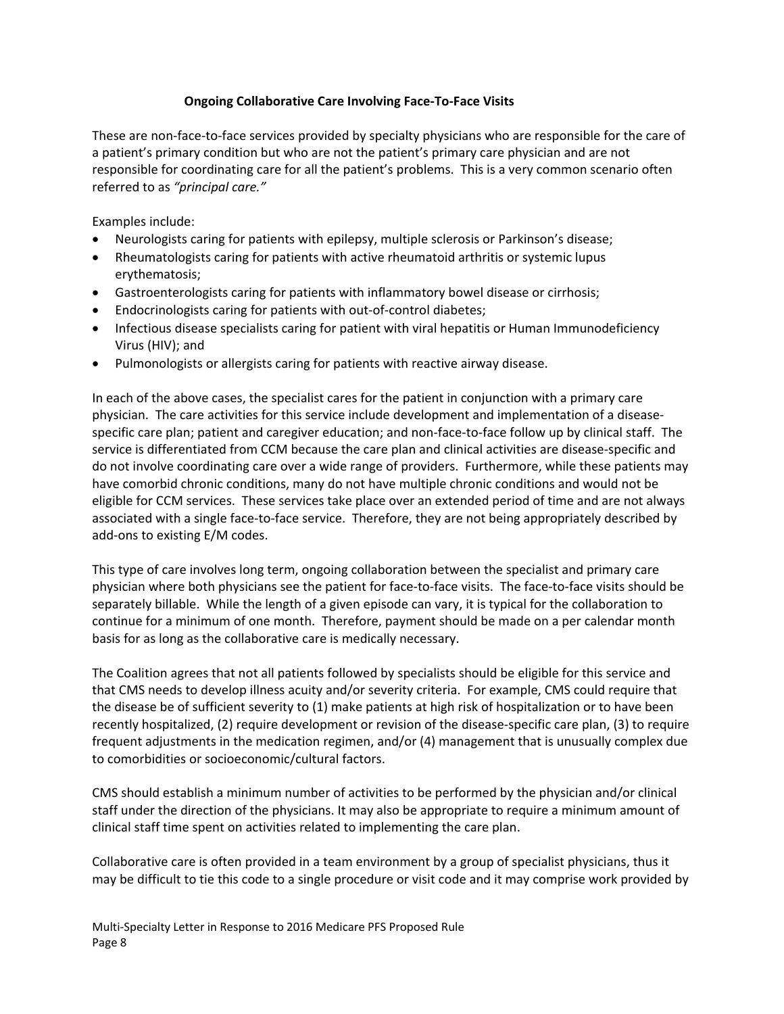#### **Ongoing Collaborative Care Involving Face‐To‐Face Visits**

These are non-face-to-face services provided by specialty physicians who are responsible for the care of a patient's primary condition but who are not the patient's primary care physician and are not responsible for coordinating care for all the patient's problems. This is a very common scenario often referred to as *"principal care."*

Examples include:

- Neurologists caring for patients with epilepsy, multiple sclerosis or Parkinson's disease;
- Rheumatologists caring for patients with active rheumatoid arthritis or systemic lupus erythematosis;
- Gastroenterologists caring for patients with inflammatory bowel disease or cirrhosis;
- Endocrinologists caring for patients with out‐of‐control diabetes;
- Infectious disease specialists caring for patient with viral hepatitis or Human Immunodeficiency Virus (HIV); and
- Pulmonologists or allergists caring for patients with reactive airway disease.

In each of the above cases, the specialist cares for the patient in conjunction with a primary care physician. The care activities for this service include development and implementation of a disease‐ specific care plan; patient and caregiver education; and non-face-to-face follow up by clinical staff. The service is differentiated from CCM because the care plan and clinical activities are disease‐specific and do not involve coordinating care over a wide range of providers. Furthermore, while these patients may have comorbid chronic conditions, many do not have multiple chronic conditions and would not be eligible for CCM services. These services take place over an extended period of time and are not always associated with a single face‐to‐face service. Therefore, they are not being appropriately described by add‐ons to existing E/M codes.

This type of care involves long term, ongoing collaboration between the specialist and primary care physician where both physicians see the patient for face‐to‐face visits. The face‐to‐face visits should be separately billable. While the length of a given episode can vary, it is typical for the collaboration to continue for a minimum of one month. Therefore, payment should be made on a per calendar month basis for as long as the collaborative care is medically necessary.

The Coalition agrees that not all patients followed by specialists should be eligible for this service and that CMS needs to develop illness acuity and/or severity criteria. For example, CMS could require that the disease be of sufficient severity to (1) make patients at high risk of hospitalization or to have been recently hospitalized, (2) require development or revision of the disease‐specific care plan, (3) to require frequent adjustments in the medication regimen, and/or (4) management that is unusually complex due to comorbidities or socioeconomic/cultural factors.

CMS should establish a minimum number of activities to be performed by the physician and/or clinical staff under the direction of the physicians. It may also be appropriate to require a minimum amount of clinical staff time spent on activities related to implementing the care plan.

Collaborative care is often provided in a team environment by a group of specialist physicians, thus it may be difficult to tie this code to a single procedure or visit code and it may comprise work provided by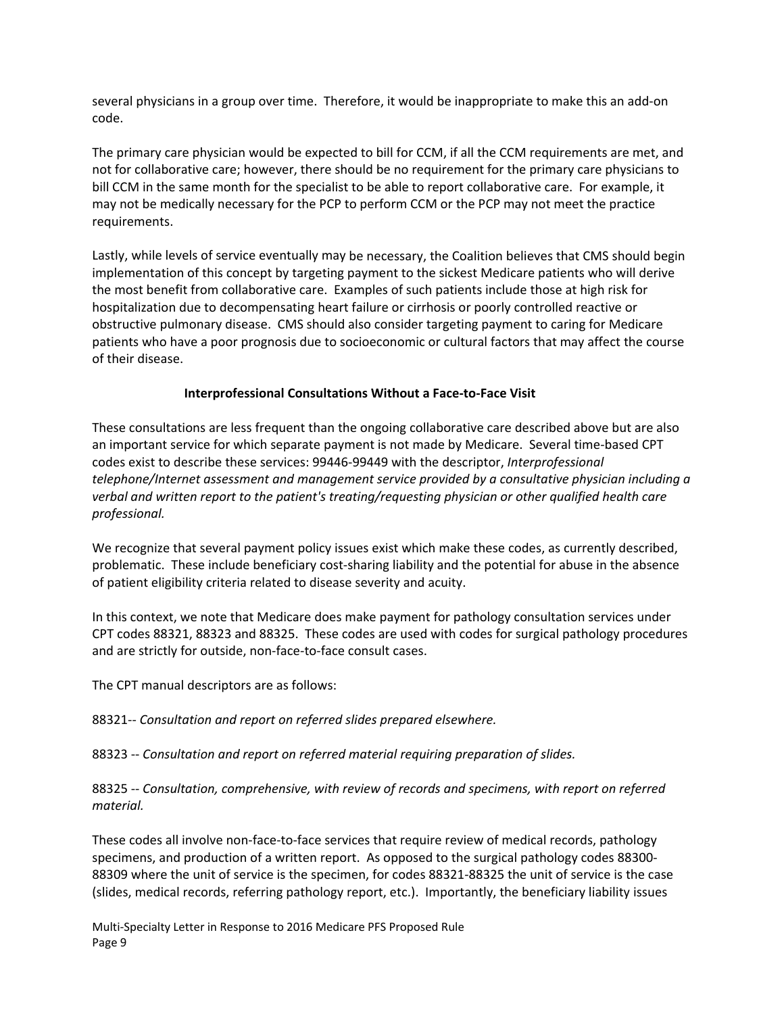several physicians in a group over time. Therefore, it would be inappropriate to make this an add‐on code.

The primary care physician would be expected to bill for CCM, if all the CCM requirements are met, and not for collaborative care; however, there should be no requirement for the primary care physicians to bill CCM in the same month for the specialist to be able to report collaborative care. For example, it may not be medically necessary for the PCP to perform CCM or the PCP may not meet the practice requirements.

Lastly, while levels of service eventually may be necessary, the Coalition believes that CMS should begin implementation of this concept by targeting payment to the sickest Medicare patients who will derive the most benefit from collaborative care. Examples of such patients include those at high risk for hospitalization due to decompensating heart failure or cirrhosis or poorly controlled reactive or obstructive pulmonary disease. CMS should also consider targeting payment to caring for Medicare patients who have a poor prognosis due to socioeconomic or cultural factors that may affect the course of their disease.

#### **Interprofessional Consultations Without a Face‐to‐Face Visit**

These consultations are less frequent than the ongoing collaborative care described above but are also an important service for which separate payment is not made by Medicare. Several time-based CPT codes exist to describe these services: 99446‐99449 with the descriptor, *Interprofessional telephone/Internet assessment and management service provided by a consultative physician including a verbal and written report to the patient's treating/requesting physician or other qualified health care professional.*

We recognize that several payment policy issues exist which make these codes, as currently described, problematic. These include beneficiary cost-sharing liability and the potential for abuse in the absence of patient eligibility criteria related to disease severity and acuity.

In this context, we note that Medicare does make payment for pathology consultation services under CPT codes 88321, 88323 and 88325. These codes are used with codes for surgical pathology procedures and are strictly for outside, non‐face‐to‐face consult cases.

The CPT manual descriptors are as follows:

88321‐‐ *Consultation and report on referred slides prepared elsewhere.*

88323 ‐‐ *Consultation and report on referred material requiring preparation of slides.*

88325 ‐‐ *Consultation, comprehensive, with review of records and specimens, with report on referred material.*

These codes all involve non‐face‐to‐face services that require review of medical records, pathology specimens, and production of a written report. As opposed to the surgical pathology codes 88300‐ 88309 where the unit of service is the specimen, for codes 88321‐88325 the unit of service is the case (slides, medical records, referring pathology report, etc.). Importantly, the beneficiary liability issues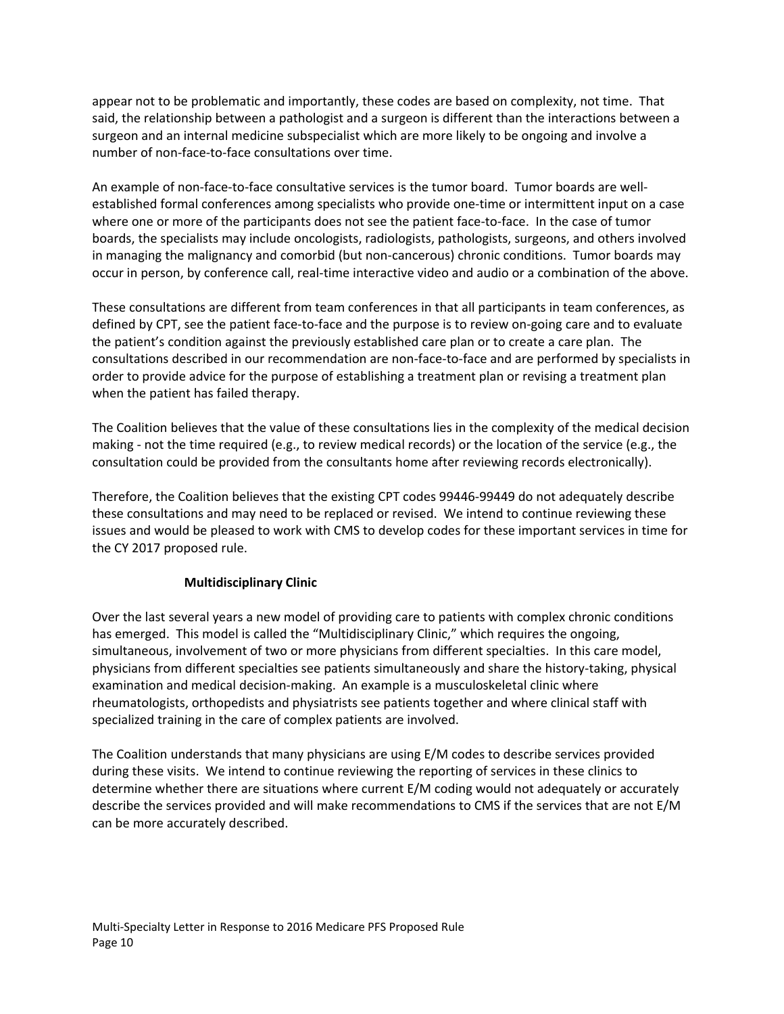appear not to be problematic and importantly, these codes are based on complexity, not time. That said, the relationship between a pathologist and a surgeon is different than the interactions between a surgeon and an internal medicine subspecialist which are more likely to be ongoing and involve a number of non‐face‐to‐face consultations over time.

An example of non-face-to-face consultative services is the tumor board. Tumor boards are wellestablished formal conferences among specialists who provide one-time or intermittent input on a case where one or more of the participants does not see the patient face-to-face. In the case of tumor boards, the specialists may include oncologists, radiologists, pathologists, surgeons, and others involved in managing the malignancy and comorbid (but non‐cancerous) chronic conditions. Tumor boards may occur in person, by conference call, real-time interactive video and audio or a combination of the above.

These consultations are different from team conferences in that all participants in team conferences, as defined by CPT, see the patient face‐to‐face and the purpose is to review on‐going care and to evaluate the patient's condition against the previously established care plan or to create a care plan. The consultations described in our recommendation are non‐face‐to‐face and are performed by specialists in order to provide advice for the purpose of establishing a treatment plan or revising a treatment plan when the patient has failed therapy.

The Coalition believes that the value of these consultations lies in the complexity of the medical decision making ‐ not the time required (e.g., to review medical records) or the location of the service (e.g., the consultation could be provided from the consultants home after reviewing records electronically).

Therefore, the Coalition believes that the existing CPT codes 99446‐99449 do not adequately describe these consultations and may need to be replaced or revised. We intend to continue reviewing these issues and would be pleased to work with CMS to develop codes for these important services in time for the CY 2017 proposed rule.

# **Multidisciplinary Clinic**

Over the last several years a new model of providing care to patients with complex chronic conditions has emerged. This model is called the "Multidisciplinary Clinic," which requires the ongoing, simultaneous, involvement of two or more physicians from different specialties. In this care model, physicians from different specialties see patients simultaneously and share the history‐taking, physical examination and medical decision‐making. An example is a musculoskeletal clinic where rheumatologists, orthopedists and physiatrists see patients together and where clinical staff with specialized training in the care of complex patients are involved.

The Coalition understands that many physicians are using E/M codes to describe services provided during these visits. We intend to continue reviewing the reporting of services in these clinics to determine whether there are situations where current E/M coding would not adequately or accurately describe the services provided and will make recommendations to CMS if the services that are not E/M can be more accurately described.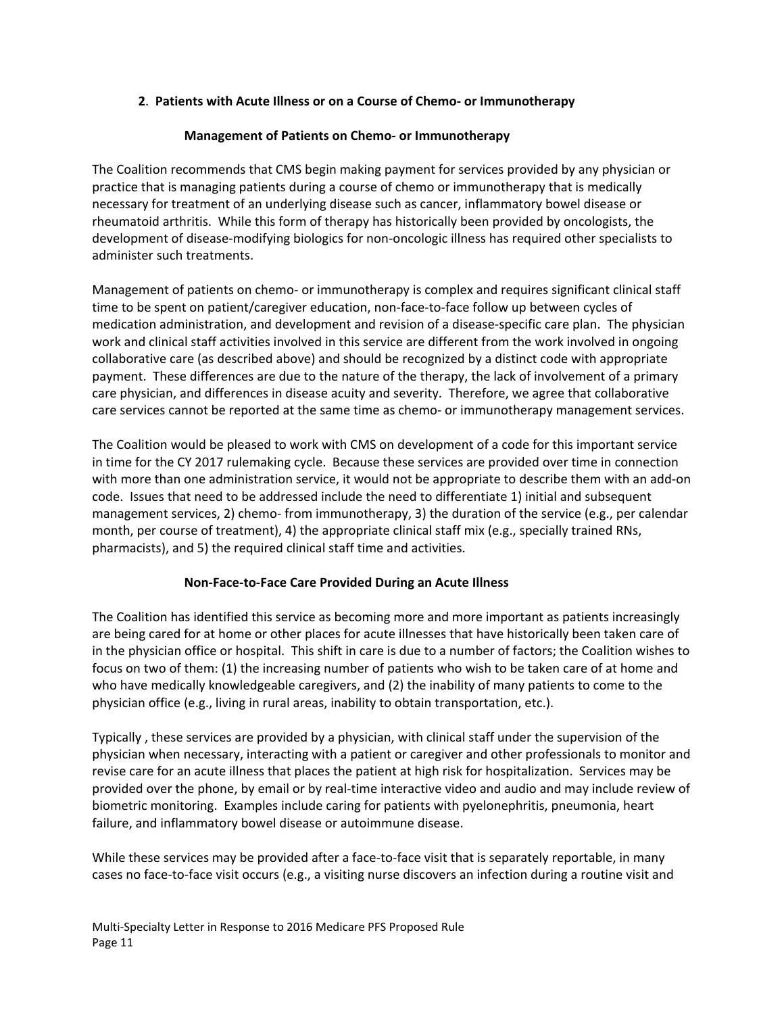#### **2**. **Patients with Acute Illness or on a Course of Chemo‐ or Immunotherapy**

#### **Management of Patients on Chemo‐ or Immunotherapy**

The Coalition recommends that CMS begin making payment for services provided by any physician or practice that is managing patients during a course of chemo or immunotherapy that is medically necessary for treatment of an underlying disease such as cancer, inflammatory bowel disease or rheumatoid arthritis. While this form of therapy has historically been provided by oncologists, the development of disease‐modifying biologics for non‐oncologic illness has required other specialists to administer such treatments.

Management of patients on chemo- or immunotherapy is complex and requires significant clinical staff time to be spent on patient/caregiver education, non-face-to-face follow up between cycles of medication administration, and development and revision of a disease‐specific care plan. The physician work and clinical staff activities involved in this service are different from the work involved in ongoing collaborative care (as described above) and should be recognized by a distinct code with appropriate payment. These differences are due to the nature of the therapy, the lack of involvement of a primary care physician, and differences in disease acuity and severity. Therefore, we agree that collaborative care services cannot be reported at the same time as chemo‐ or immunotherapy management services.

The Coalition would be pleased to work with CMS on development of a code for this important service in time for the CY 2017 rulemaking cycle. Because these services are provided over time in connection with more than one administration service, it would not be appropriate to describe them with an add‐on code. Issues that need to be addressed include the need to differentiate 1) initial and subsequent management services, 2) chemo- from immunotherapy, 3) the duration of the service (e.g., per calendar month, per course of treatment), 4) the appropriate clinical staff mix (e.g., specially trained RNs, pharmacists), and 5) the required clinical staff time and activities.

#### **Non‐Face‐to‐Face Care Provided During an Acute Illness**

The Coalition has identified this service as becoming more and more important as patients increasingly are being cared for at home or other places for acute illnesses that have historically been taken care of in the physician office or hospital. This shift in care is due to a number of factors; the Coalition wishes to focus on two of them: (1) the increasing number of patients who wish to be taken care of at home and who have medically knowledgeable caregivers, and (2) the inability of many patients to come to the physician office (e.g., living in rural areas, inability to obtain transportation, etc.).

Typically , these services are provided by a physician, with clinical staff under the supervision of the physician when necessary, interacting with a patient or caregiver and other professionals to monitor and revise care for an acute illness that places the patient at high risk for hospitalization. Services may be provided over the phone, by email or by real-time interactive video and audio and may include review of biometric monitoring. Examples include caring for patients with pyelonephritis, pneumonia, heart failure, and inflammatory bowel disease or autoimmune disease.

While these services may be provided after a face-to-face visit that is separately reportable, in many cases no face‐to‐face visit occurs (e.g., a visiting nurse discovers an infection during a routine visit and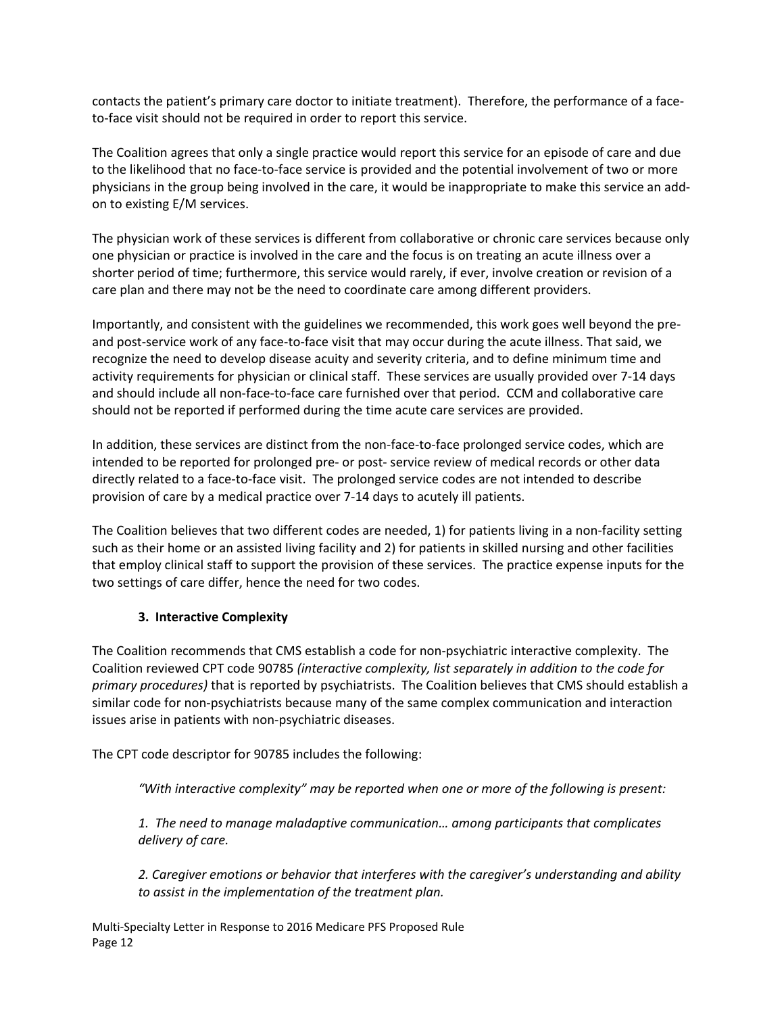contacts the patient's primary care doctor to initiate treatment). Therefore, the performance of a face‐ to-face visit should not be required in order to report this service.

The Coalition agrees that only a single practice would report this service for an episode of care and due to the likelihood that no face‐to‐face service is provided and the potential involvement of two or more physicians in the group being involved in the care, it would be inappropriate to make this service an add‐ on to existing E/M services.

The physician work of these services is different from collaborative or chronic care services because only one physician or practice is involved in the care and the focus is on treating an acute illness over a shorter period of time; furthermore, this service would rarely, if ever, involve creation or revision of a care plan and there may not be the need to coordinate care among different providers.

Importantly, and consistent with the guidelines we recommended, this work goes well beyond the pre‐ and post‐service work of any face‐to‐face visit that may occur during the acute illness. That said, we recognize the need to develop disease acuity and severity criteria, and to define minimum time and activity requirements for physician or clinical staff. These services are usually provided over 7‐14 days and should include all non-face-to-face care furnished over that period. CCM and collaborative care should not be reported if performed during the time acute care services are provided.

In addition, these services are distinct from the non-face-to-face prolonged service codes, which are intended to be reported for prolonged pre‐ or post‐ service review of medical records or other data directly related to a face‐to‐face visit. The prolonged service codes are not intended to describe provision of care by a medical practice over 7‐14 days to acutely ill patients.

The Coalition believes that two different codes are needed, 1) for patients living in a non‐facility setting such as their home or an assisted living facility and 2) for patients in skilled nursing and other facilities that employ clinical staff to support the provision of these services. The practice expense inputs for the two settings of care differ, hence the need for two codes.

# **3. Interactive Complexity**

The Coalition recommends that CMS establish a code for non‐psychiatric interactive complexity. The Coalition reviewed CPT code 90785 *(interactive complexity, list separately in addition to the code for primary procedures)* that is reported by psychiatrists. The Coalition believes that CMS should establish a similar code for non‐psychiatrists because many of the same complex communication and interaction issues arise in patients with non‐psychiatric diseases.

The CPT code descriptor for 90785 includes the following:

*"With interactive complexity" may be reported when one or more of the following is present:* 

*1. The need to manage maladaptive communication… among participants that complicates delivery of care.*

*2. Caregiver emotions or behavior that interferes with the caregiver's understanding and ability to assist in the implementation of the treatment plan.*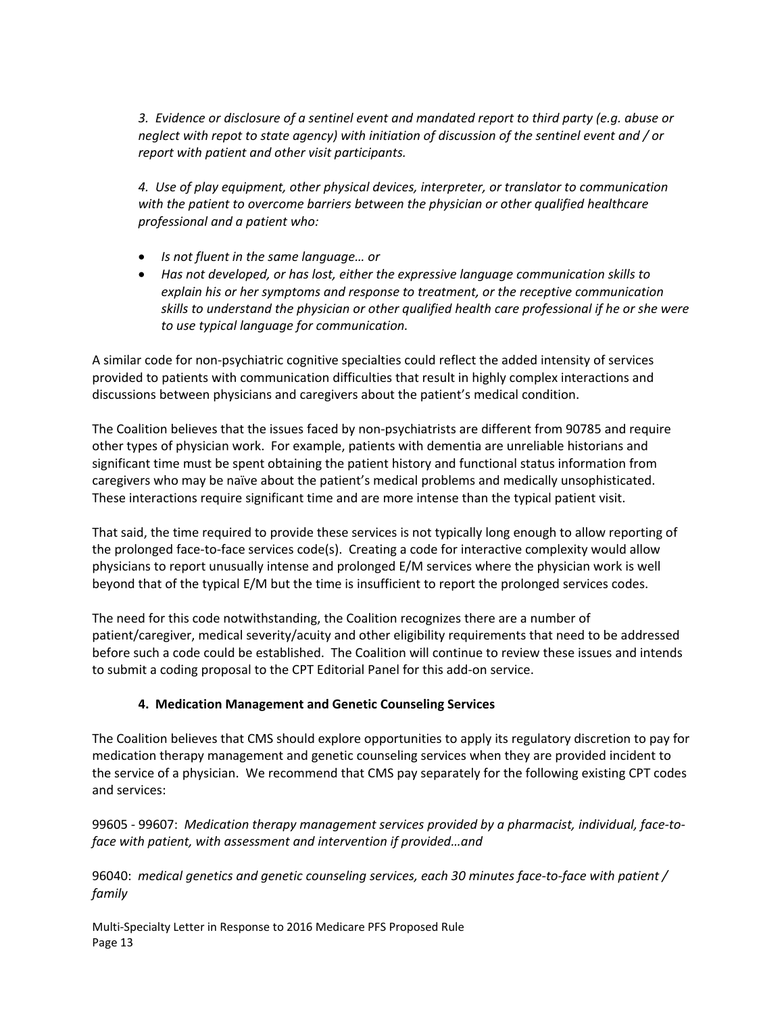*3. Evidence or disclosure of a sentinel event and mandated report to third party (e.g. abuse or neglect with repot to state agency) with initiation of discussion of the sentinel event and / or report with patient and other visit participants.*

*4. Use of play equipment, other physical devices, interpreter, or translator to communication with the patient to overcome barriers between the physician or other qualified healthcare professional and a patient who:*

- *Is not fluent in the same language… or*
- *Has not developed, or has lost, either the expressive language communication skills to explain his or her symptoms and response to treatment, or the receptive communication skills to understand the physician or other qualified health care professional if he or she were to use typical language for communication.*

A similar code for non‐psychiatric cognitive specialties could reflect the added intensity of services provided to patients with communication difficulties that result in highly complex interactions and discussions between physicians and caregivers about the patient's medical condition.

The Coalition believes that the issues faced by non‐psychiatrists are different from 90785 and require other types of physician work. For example, patients with dementia are unreliable historians and significant time must be spent obtaining the patient history and functional status information from caregivers who may be naïve about the patient's medical problems and medically unsophisticated. These interactions require significant time and are more intense than the typical patient visit.

That said, the time required to provide these services is not typically long enough to allow reporting of the prolonged face‐to‐face services code(s). Creating a code for interactive complexity would allow physicians to report unusually intense and prolonged E/M services where the physician work is well beyond that of the typical E/M but the time is insufficient to report the prolonged services codes.

The need for this code notwithstanding, the Coalition recognizes there are a number of patient/caregiver, medical severity/acuity and other eligibility requirements that need to be addressed before such a code could be established. The Coalition will continue to review these issues and intends to submit a coding proposal to the CPT Editorial Panel for this add‐on service.

# **4. Medication Management and Genetic Counseling Services**

The Coalition believes that CMS should explore opportunities to apply its regulatory discretion to pay for medication therapy management and genetic counseling services when they are provided incident to the service of a physician. We recommend that CMS pay separately for the following existing CPT codes and services:

99605 ‐ 99607: *Medication therapy management services provided by a pharmacist, individual, face‐to‐ face with patient, with assessment and intervention if provided…and*

96040: *medical genetics and genetic counseling services, each 30 minutes face‐to‐face with patient / family*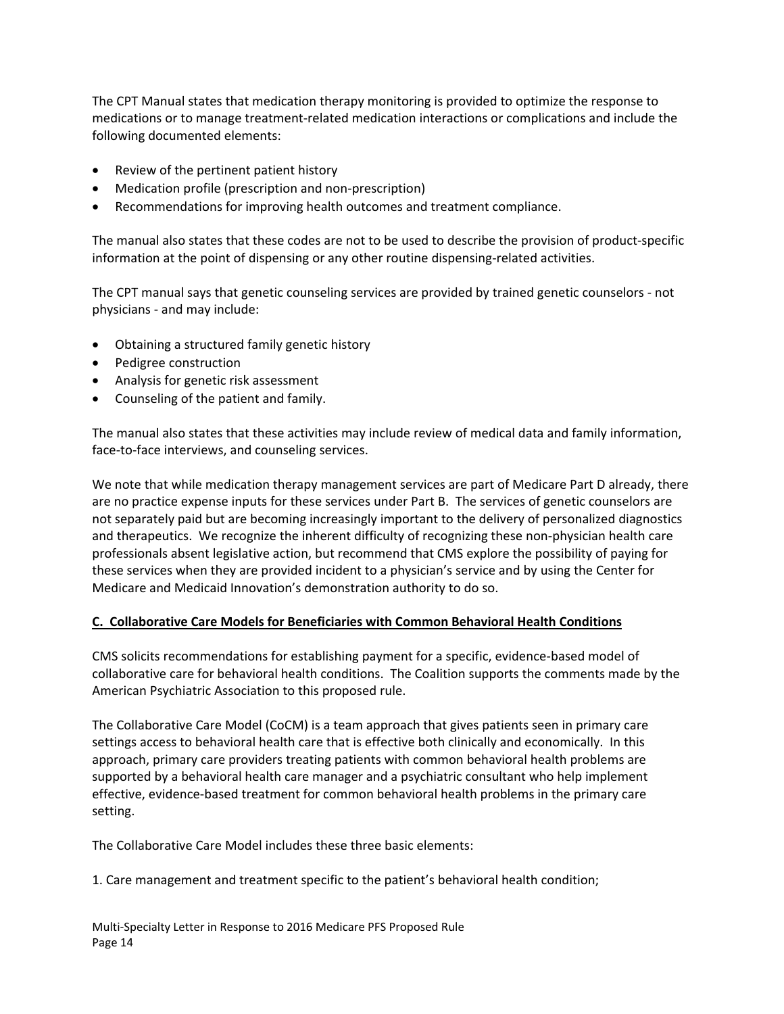The CPT Manual states that medication therapy monitoring is provided to optimize the response to medications or to manage treatment‐related medication interactions or complications and include the following documented elements:

- Review of the pertinent patient history
- Medication profile (prescription and non-prescription)
- Recommendations for improving health outcomes and treatment compliance.

The manual also states that these codes are not to be used to describe the provision of product‐specific information at the point of dispensing or any other routine dispensing-related activities.

The CPT manual says that genetic counseling services are provided by trained genetic counselors ‐ not physicians ‐ and may include:

- Obtaining a structured family genetic history
- Pedigree construction
- Analysis for genetic risk assessment
- Counseling of the patient and family.

The manual also states that these activities may include review of medical data and family information, face-to-face interviews, and counseling services.

We note that while medication therapy management services are part of Medicare Part D already, there are no practice expense inputs for these services under Part B. The services of genetic counselors are not separately paid but are becoming increasingly important to the delivery of personalized diagnostics and therapeutics. We recognize the inherent difficulty of recognizing these non‐physician health care professionals absent legislative action, but recommend that CMS explore the possibility of paying for these services when they are provided incident to a physician's service and by using the Center for Medicare and Medicaid Innovation's demonstration authority to do so.

#### **C. Collaborative Care Models for Beneficiaries with Common Behavioral Health Conditions**

CMS solicits recommendations for establishing payment for a specific, evidence‐based model of collaborative care for behavioral health conditions. The Coalition supports the comments made by the American Psychiatric Association to this proposed rule.

The Collaborative Care Model (CoCM) is a team approach that gives patients seen in primary care settings access to behavioral health care that is effective both clinically and economically. In this approach, primary care providers treating patients with common behavioral health problems are supported by a behavioral health care manager and a psychiatric consultant who help implement effective, evidence‐based treatment for common behavioral health problems in the primary care setting.

The Collaborative Care Model includes these three basic elements:

1. Care management and treatment specific to the patient's behavioral health condition;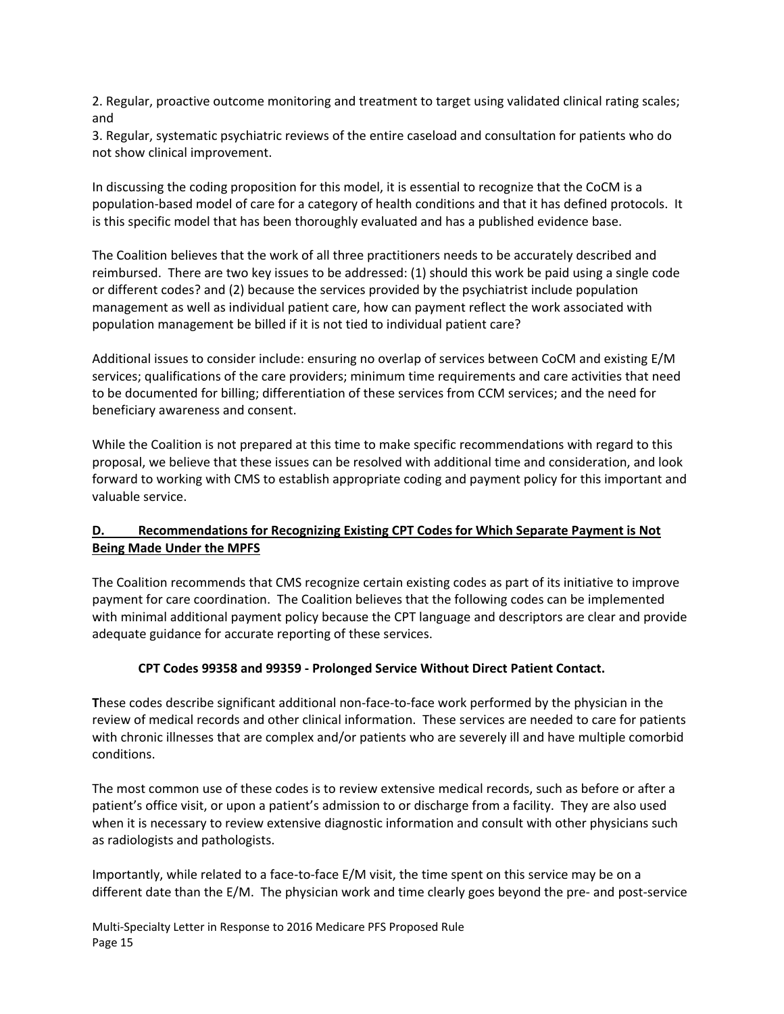2. Regular, proactive outcome monitoring and treatment to target using validated clinical rating scales; and

3. Regular, systematic psychiatric reviews of the entire caseload and consultation for patients who do not show clinical improvement.

In discussing the coding proposition for this model, it is essential to recognize that the CoCM is a population‐based model of care for a category of health conditions and that it has defined protocols. It is this specific model that has been thoroughly evaluated and has a published evidence base.

The Coalition believes that the work of all three practitioners needs to be accurately described and reimbursed. There are two key issues to be addressed: (1) should this work be paid using a single code or different codes? and (2) because the services provided by the psychiatrist include population management as well as individual patient care, how can payment reflect the work associated with population management be billed if it is not tied to individual patient care?

Additional issues to consider include: ensuring no overlap of services between CoCM and existing E/M services; qualifications of the care providers; minimum time requirements and care activities that need to be documented for billing; differentiation of these services from CCM services; and the need for beneficiary awareness and consent.

While the Coalition is not prepared at this time to make specific recommendations with regard to this proposal, we believe that these issues can be resolved with additional time and consideration, and look forward to working with CMS to establish appropriate coding and payment policy for this important and valuable service.

# **D. Recommendations for Recognizing Existing CPT Codes for Which Separate Payment is Not Being Made Under the MPFS**

The Coalition recommends that CMS recognize certain existing codes as part of its initiative to improve payment for care coordination. The Coalition believes that the following codes can be implemented with minimal additional payment policy because the CPT language and descriptors are clear and provide adequate guidance for accurate reporting of these services.

# **CPT Codes 99358 and 99359 ‐ Prolonged Service Without Direct Patient Contact.**

**T**hese codes describe significant additional non‐face‐to‐face work performed by the physician in the review of medical records and other clinical information. These services are needed to care for patients with chronic illnesses that are complex and/or patients who are severely ill and have multiple comorbid conditions.

The most common use of these codes is to review extensive medical records, such as before or after a patient's office visit, or upon a patient's admission to or discharge from a facility. They are also used when it is necessary to review extensive diagnostic information and consult with other physicians such as radiologists and pathologists.

Importantly, while related to a face‐to‐face E/M visit, the time spent on this service may be on a different date than the E/M. The physician work and time clearly goes beyond the pre‐ and post‐service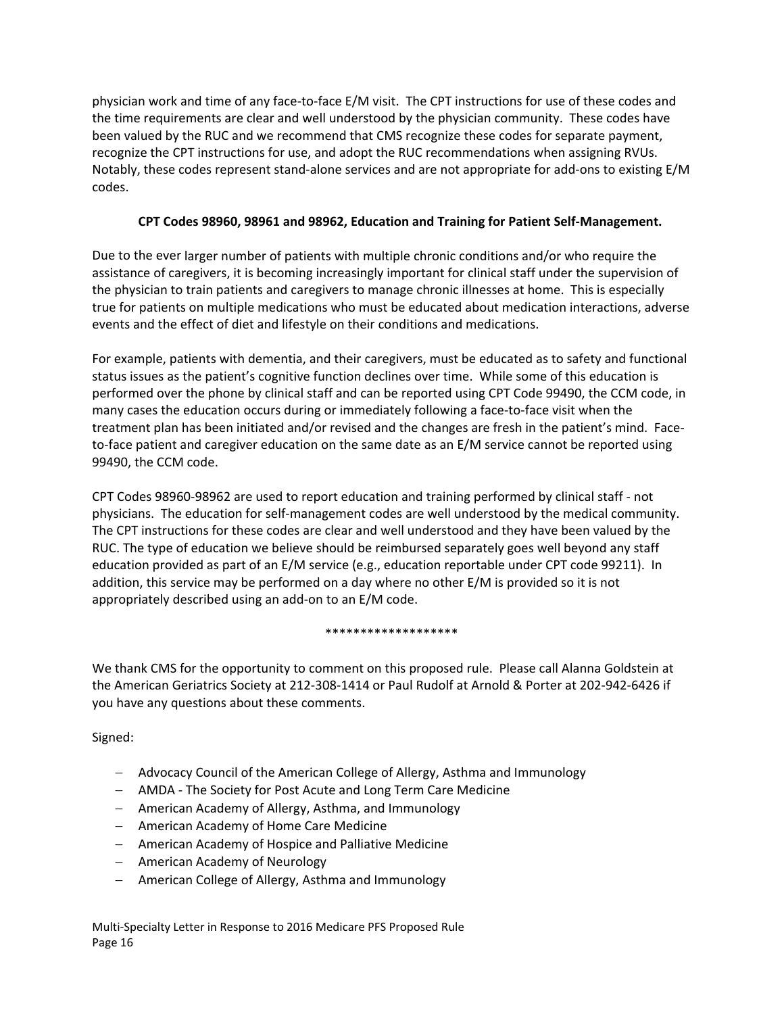physician work and time of any face‐to‐face E/M visit. The CPT instructions for use of these codes and the time requirements are clear and well understood by the physician community. These codes have been valued by the RUC and we recommend that CMS recognize these codes for separate payment, recognize the CPT instructions for use, and adopt the RUC recommendations when assigning RVUs. Notably, these codes represent stand‐alone services and are not appropriate for add‐ons to existing E/M codes.

# **CPT Codes 98960, 98961 and 98962, Education and Training for Patient Self‐Management.**

Due to the ever larger number of patients with multiple chronic conditions and/or who require the assistance of caregivers, it is becoming increasingly important for clinical staff under the supervision of the physician to train patients and caregivers to manage chronic illnesses at home. This is especially true for patients on multiple medications who must be educated about medication interactions, adverse events and the effect of diet and lifestyle on their conditions and medications.

For example, patients with dementia, and their caregivers, must be educated as to safety and functional status issues as the patient's cognitive function declines over time. While some of this education is performed over the phone by clinical staff and can be reported using CPT Code 99490, the CCM code, in many cases the education occurs during or immediately following a face-to-face visit when the treatment plan has been initiated and/or revised and the changes are fresh in the patient's mind. Face‐ to-face patient and caregiver education on the same date as an E/M service cannot be reported using 99490, the CCM code.

CPT Codes 98960‐98962 are used to report education and training performed by clinical staff ‐ not physicians. The education for self‐management codes are well understood by the medical community. The CPT instructions for these codes are clear and well understood and they have been valued by the RUC. The type of education we believe should be reimbursed separately goes well beyond any staff education provided as part of an E/M service (e.g., education reportable under CPT code 99211). In addition, this service may be performed on a day where no other E/M is provided so it is not appropriately described using an add‐on to an E/M code.

#### \*\*\*\*\*\*\*\*\*\*\*\*\*\*\*\*\*\*\*

We thank CMS for the opportunity to comment on this proposed rule. Please call Alanna Goldstein at the American Geriatrics Society at 212‐308‐1414 or Paul Rudolf at Arnold & Porter at 202‐942‐6426 if you have any questions about these comments.

Signed:

- Advocacy Council of the American College of Allergy, Asthma and Immunology
- AMDA ‐ The Society for Post Acute and Long Term Care Medicine
- American Academy of Allergy, Asthma, and Immunology
- American Academy of Home Care Medicine
- American Academy of Hospice and Palliative Medicine
- American Academy of Neurology
- American College of Allergy, Asthma and Immunology